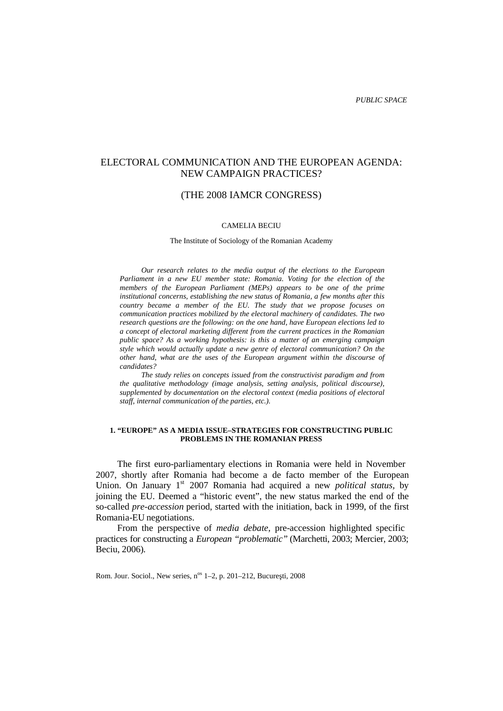# ELECTORAL COMMUNICATION AND THE EUROPEAN AGENDA: NEW CAMPAIGN PRACTICES?

# (THE 2008 IAMCR CONGRESS)

#### CAMELIA BECIU

The Institute of Sociology of the Romanian Academy

*Our research relates to the media output of the elections to the European Parliament in a new EU member state: Romania. Voting for the election of the members of the European Parliament (MEPs) appears to be one of the prime institutional concerns, establishing the new status of Romania, a few months after this country became a member of the EU. The study that we propose focuses on communication practices mobilized by the electoral machinery of candidates. The two research questions are the following: on the one hand, have European elections led to a concept of electoral marketing different from the current practices in the Romanian public space? As a working hypothesis: is this a matter of an emerging campaign style which would actually update a new genre of electoral communication? On the other hand, what are the uses of the European argument within the discourse of candidates?*

*The study relies on concepts issued from the constructivist paradigm and from the qualitative methodology (image analysis, setting analysis, political discourse), supplemented by documentation on the electoral context (media positions of electoral staff, internal communication of the parties, etc.).*

# **1. "EUROPE" AS A MEDIA ISSUE–STRATEGIES FOR CONSTRUCTING PUBLIC PROBLEMS IN THE ROMANIAN PRESS**

The first euro-parliamentary elections in Romania were held in November 2007, shortly after Romania had become a de facto member of the European Union. On January 1<sup>st</sup> 2007 Romania had acquired a new *political status*, by joining the EU. Deemed a "historic event", the new status marked the end of the so-called *pre-accession* period, started with the initiation, back in 1999, of the first Romania-EU negotiations.

From the perspective of *media debate,* pre-accession highlighted specific practices for constructing a *European "problematic"* (Marchetti, 2003; Mercier, 2003; Beciu, 2006)*.*

Rom. Jour. Sociol., New series, n<sup>os</sup> 1–2, p. 201–212, Bucure ti, 2008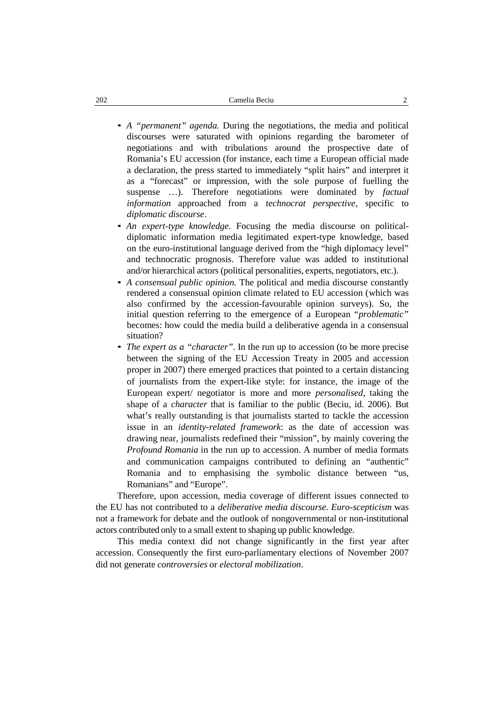- *A "permanent" agenda.* During the negotiations, the media and political discourses were saturated with opinions regarding the barometer of negotiations and with tribulations around the prospective date of Romania's EU accession (for instance, each time a European official made a declaration, the press started to immediately "split hairs" and interpret it as a "forecast" or impression, with the sole purpose of fuelling the suspense …). Therefore negotiations were dominated by *factual information* approached from a *technocrat perspective*, specific to *diplomatic discourse*.
- *An expert-type knowledge.* Focusing the media discourse on political diplomatic information media legitimated expert-type knowledge, based on the euro-institutional language derived from the "high diplomacy level" and technocratic prognosis. Therefore value was added to institutional and/or hierarchical actors (political personalities, experts, negotiators, etc.).
- *A consensual public opinion.* The political and media discourse constantly rendered a consensual opinion climate related to EU accession (which was also confirmed by the accession-favourable opinion surveys). So, the initial question referring to the emergence of a European "*problematic"* becomes: how could the media build a deliberative agenda in a consensual situation?
- *The expert as a "character".* In the run up to accession (to be more precise between the signing of the EU Accession Treaty in 2005 and accession proper in 2007) there emerged practices that pointed to a certain distancing of journalists from the expert-like style: for instance, the image of the European expert/ negotiator is more and more *personalised*, taking the shape of a *character* that is familiar to the public (Beciu, id. 2006). But what's really outstanding is that journalists started to tackle the accession issue in an *identity-related framework*: as the date of accession was drawing near, journalists redefined their "mission", by mainly covering the *Profound Romania* in the run up to accession. A number of media formats and communication campaigns contributed to defining an "authentic" Romania and to emphasising the symbolic distance between "us, Romanians" and "Europe".

Therefore, upon accession, media coverage of different issues connected to the EU has not contributed to a *deliberative media discourse. Euro-scepticism* was not a framework for debate and the outlook of nongovernmental or non-institutional actors contributed only to a small extent to shaping up public knowledge.

This media context did not change significantly in the first year after accession. Consequently the first euro-parliamentary elections of November 2007 did not generate *controversies* or *electoral mobilization*.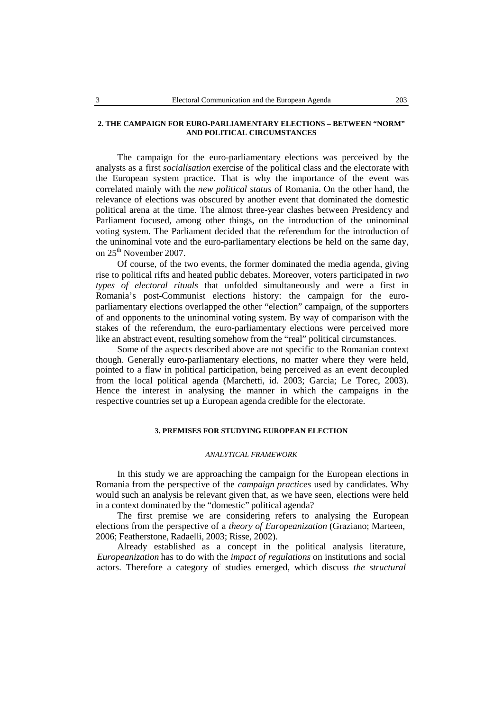## **2. THE CAMPAIGN FOR EURO-PARLIAMENTARY ELECTIONS – BETWEEN "NORM" AND POLITICAL CIRCUMSTANCES**

The campaign for the euro-parliamentary elections was perceived by the analysts as a first *socialisation* exercise of the political class and the electorate with the European system practice. That is why the importance of the event was correlated mainly with the *new political status* of Romania. On the other hand, the relevance of elections was obscured by another event that dominated the domestic political arena at the time. The almost three-year clashes between Presidency and Parliament focused, among other things, on the introduction of the uninominal voting system. The Parliament decided that the referendum for the introduction of the uninominal vote and the euro-parliamentary elections be held on the same day, on 25<sup>th</sup> November 2007.

Of course, of the two events, the former dominated the media agenda, giving rise to political rifts and heated public debates. Moreover, voters participated in *two types of electoral rituals* that unfolded simultaneously and were a first in Romania's post-Communist elections history: the campaign for the euro parliamentary elections overlapped the other "election" campaign, of the supporters of and opponents to the uninominal voting system. By way of comparison with the stakes of the referendum, the euro-parliamentary elections were perceived more like an abstract event, resulting somehow from the "real" political circumstances.

Some of the aspects described above are not specific to the Romanian context though. Generally euro-parliamentary elections, no matter where they were held, pointed to a flaw in political participation, being perceived as an event decoupled from the local political agenda (Marchetti, id. 2003; Garcia; Le Torec, 2003). Hence the interest in analysing the manner in which the campaigns in the respective countries set up a European agenda credible for the electorate.

# **3. PREMISES FOR STUDYING EUROPEAN ELECTION**

## *ANALYTICAL FRAMEWORK*

In this study we are approaching the campaign for the European elections in Romania from the perspective of the *campaign practices* used by candidates. Why would such an analysis be relevant given that, as we have seen, elections were held in a context dominated by the "domestic" political agenda?

The first premise we are considering refers to analysing the European elections from the perspective of a *theory of Europeanization* (Graziano; Marteen, 2006; Featherstone, Radaelli, 2003; Risse, 2002)*.*

Already established as a concept in the political analysis literature, *Europeanization* has to do with the *impact of regulations* on institutions and social actors. Therefore a category of studies emerged, which discuss *the structural*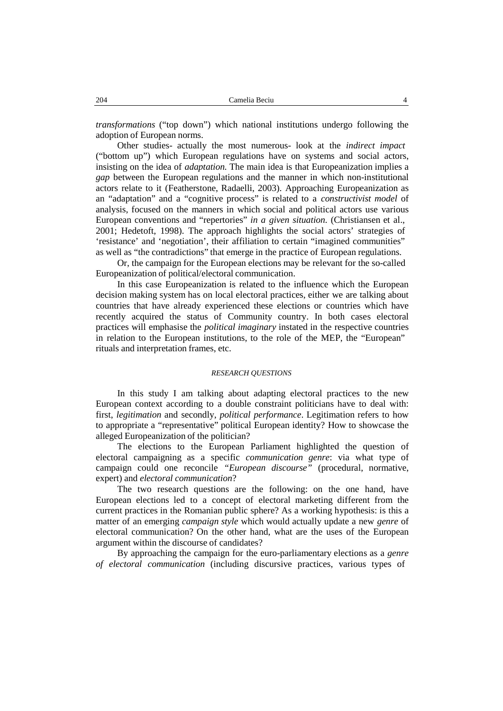*transformations* ("top down") which national institutions undergo following the adoption of European norms.

Other studies- actually the most numerous- look at the *indirect impact* ("bottom up") which European regulations have on systems and social actors, insisting on the idea of *adaptation.* The main idea is that Europeanization implies a *gap* between the European regulations and the manner in which non-institutional actors relate to it (Featherstone, Radaelli, 2003). Approaching Europeanization as an "adaptation" and a "cognitive process" is related to a *constructivist model* of analysis, focused on the manners in which social and political actors use various European conventions and "repertories" *in a given situation.* (Christiansen et al., 2001; Hedetoft, 1998). The approach highlights the social actors' strategies of 'resistance' and 'negotiation', their affiliation to certain "imagined communities" as well as "the contradictions" that emerge in the practice of European regulations.

Or, the campaign for the European elections may be relevant for the so-called Europeanization of political/electoral communication.

In this case Europeanization is related to the influence which the European decision making system has on local electoral practices, either we are talking about countries that have already experienced these elections or countries which have recently acquired the status of Community country. In both cases electoral practices will emphasise the *political imaginary* instated in the respective countries in relation to the European institutions, to the role of the MEP, the "European" rituals and interpretation frames, etc.

### *RESEARCH QUESTIONS*

In this study I am talking about adapting electoral practices to the new European context according to a double constraint politicians have to deal with: first, *legitimation* and secondly, *political performance*. Legitimation refers to how to appropriate a "representative" political European identity? How to showcase the alleged Europeanization of the politician?

The elections to the European Parliament highlighted the question of electoral campaigning as a specific *communication genre*: via what type of campaign could one reconcile *"European discourse"* (procedural, normative, expert) and *electoral communication*?

The two research questions are the following: on the one hand, have European elections led to a concept of electoral marketing different from the current practices in the Romanian public sphere? As a working hypothesis: is this a matter of an emerging *campaign style* which would actually update a new *genre* of electoral communication? On the other hand, what are the uses of the European argument within the discourse of candidates?

By approaching the campaign for the euro-parliamentary elections as a *genre of electoral communication* (including discursive practices, various types of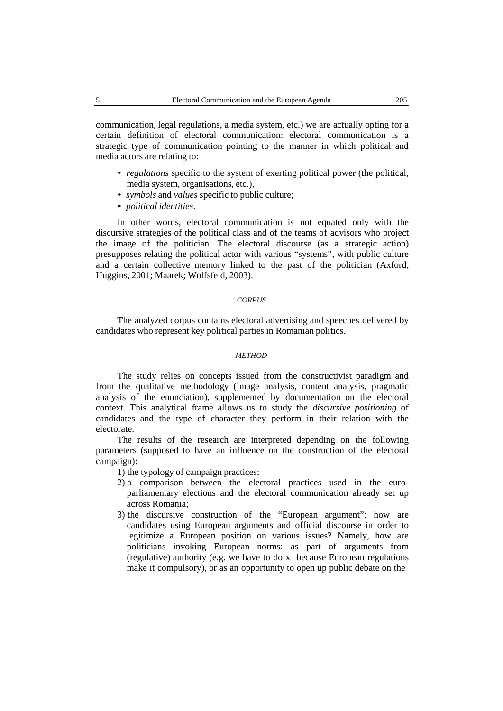communication, legal regulations, a media system, etc.) we are actually opting for a certain definition of electoral communication: electoral communication is a strategic type of communication pointing to the manner in which political and media actors are relating to:

- *regulations* specific to the system of exerting political power (the political, media system, organisations, etc.), • *symbols* and *values* specific to public culture; • *political identities*.
- 
- 

In other words, electoral communication is not equated only with the discursive strategies of the political class and of the teams of advisors who project the image of the politician. The electoral discourse (as a strategic action) presupposes relating the political actor with various "systems", with public culture and a certain collective memory linked to the past of the politician (Axford, Huggins, 2001; Maarek; Wolfsfeld, 2003).

# *CORPUS*

The analyzed corpus contains electoral advertising and speeches delivered by candidates who represent key political parties in Romanian politics.

# *METHOD*

The study relies on concepts issued from the constructivist paradigm and from the qualitative methodology (image analysis, content analysis, pragmatic analysis of the enunciation), supplemented by documentation on the electoral context. This analytical frame allows us to study the *discursive positioning* of candidates and the type of character they perform in their relation with the electorate.

The results of the research are interpreted depending on the following parameters (supposed to have an influence on the construction of the electoral campaign):

1) the typology of campaign practices;

- 2) a comparison between the electoral practices used in the euro parliamentary elections and the electoral communication already set up across Romania;
- 3) the discursive construction of the "European argument": how are candidates using European arguments and official discourse in order to legitimize a European position on various issues? Namely, how are politicians invoking European norms: as part of arguments from (regulative) authority (e.g. we have to do x because European regulations make it compulsory), or as an opportunity to open up public debate on the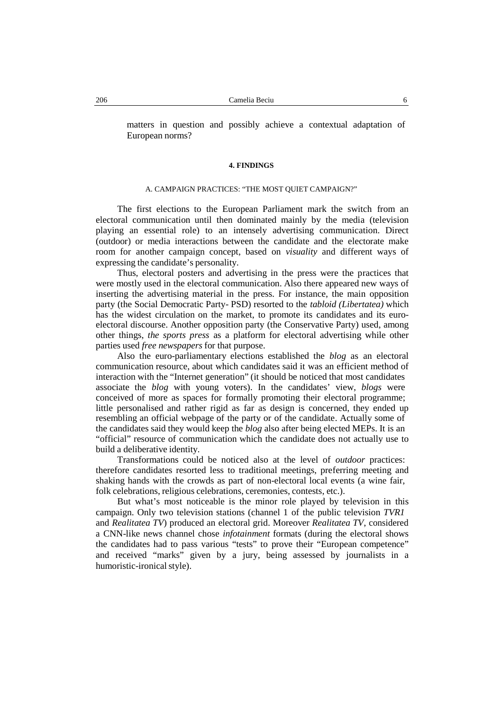matters in question and possibly achieve a contextual adaptation of European norms?

#### **4. FINDINGS**

#### A. CAMPAIGN PRACTICES: "THE MOST QUIET CAMPAIGN?"

The first elections to the European Parliament mark the switch from an electoral communication until then dominated mainly by the media (television playing an essential role) to an intensely advertising communication. Direct (outdoor) or media interactions between the candidate and the electorate make room for another campaign concept, based on *visuality* and different ways of expressing the candidate's personality.

Thus, electoral posters and advertising in the press were the practices that were mostly used in the electoral communication. Also there appeared new ways of inserting the advertising material in the press. For instance, the main opposition party (the Social Democratic Party- PSD) resorted to the *tabloid (Libertatea)* which has the widest circulation on the market, to promote its candidates and its euro electoral discourse. Another opposition party (the Conservative Party) used, among other things, *the sports press* as a platform for electoral advertising while other parties used *free newspapers* for that purpose.

Also the euro-parliamentary elections established the *blog* as an electoral communication resource, about which candidates said it was an efficient method of interaction with the "Internet generation" (it should be noticed that most candidates associate the *blog* with young voters). In the candidates' view, *blogs* were conceived of more as spaces for formally promoting their electoral programme; little personalised and rather rigid as far as design is concerned, they ended up resembling an official webpage of the party or of the candidate. Actually some of the candidates said they would keep the *blog* also after being elected MEPs. It is an "official" resource of communication which the candidate does not actually use to build a deliberative identity.

Transformations could be noticed also at the level of *outdoor* practices: therefore candidates resorted less to traditional meetings, preferring meeting and shaking hands with the crowds as part of non-electoral local events (a wine fair, folk celebrations, religious celebrations, ceremonies, contests, etc.).

But what's most noticeable is the minor role played by television in this campaign. Only two television stations (channel 1 of the public television *TVR1* and *Realitatea TV*) produced an electoral grid. Moreover *Realitatea TV*, considered a CNN-like news channel chose *infotainment* formats (during the electoral shows the candidates had to pass various "tests" to prove their "European competence" and received "marks" given by a jury, being assessed by journalists in a humoristic-ironical style).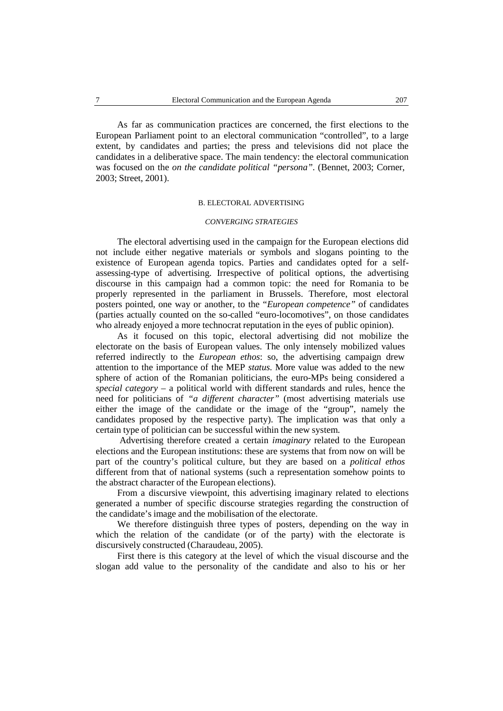As far as communication practices are concerned, the first elections to the European Parliament point to an electoral communication "controlled", to a large extent, by candidates and parties; the press and televisions did not place the candidates in a deliberative space. The main tendency: the electoral communication was focused on the *on the candidate political "persona".* (Bennet, 2003; Corner, 2003; Street, 2001).

## B. ELECTORAL ADVERTISING

### *CONVERGING STRATEGIES*

The electoral advertising used in the campaign for the European elections did not include either negative materials or symbols and slogans pointing to the existence of European agenda topics. Parties and candidates opted for a self assessing-type of advertising. Irrespective of political options, the advertising discourse in this campaign had a common topic: the need for Romania to be properly represented in the parliament in Brussels. Therefore, most electoral posters pointed, one way or another, to the "*European competence"* of candidates (parties actually counted on the so-called "euro-locomotives", on those candidates who already enjoyed a more technocrat reputation in the eyes of public opinion).

As it focused on this topic, electoral advertising did not mobilize the electorate on the basis of European values. The only intensely mobilized values referred indirectly to the *European ethos*: so, the advertising campaign drew attention to the importance of the MEP *status.* More value was added to the new sphere of action of the Romanian politicians, the euro-MPs being considered a *special category* – a political world with different standards and rules, hence the need for politicians of *"a different character"* (most advertising materials use either the image of the candidate or the image of the "group", namely the candidates proposed by the respective party). The implication was that only a certain type of politician can be successful within the new system.

Advertising therefore created a certain *imaginary* related to the European elections and the European institutions: these are systems that from now on will be part of the country's political culture, but they are based on a *political ethos* different from that of national systems (such a representation somehow points to the abstract character of the European elections).

From a discursive viewpoint, this advertising imaginary related to elections generated a number of specific discourse strategies regarding the construction of the candidate's image and the mobilisation of the electorate.

We therefore distinguish three types of posters, depending on the way in which the relation of the candidate (or of the party) with the electorate is discursively constructed (Charaudeau, 2005).

First there is this category at the level of which the visual discourse and the slogan add value to the personality of the candidate and also to his or her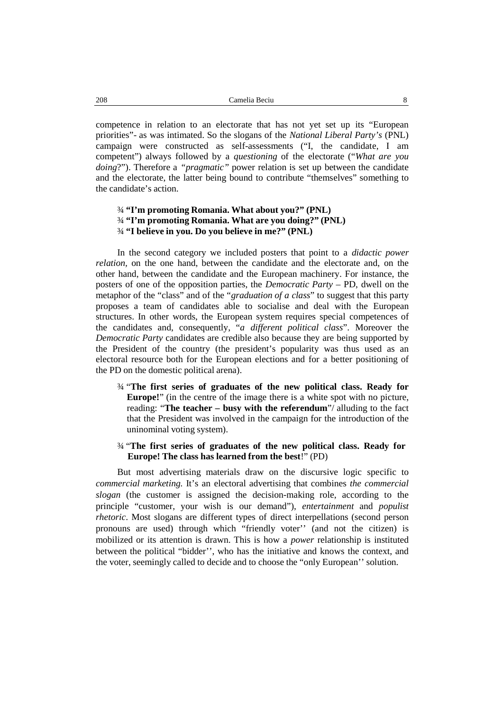competence in relation to an electorate that has not yet set up its "European priorities"- as was intimated. So the slogans of the *National Liberal Party's* (PNL) campaign were constructed as self-assessments ("I, the candidate, I am competent") always followed by a *questioning* of the electorate ("*What are you doing*?"). Therefore a *"pragmatic"* power relation is set up between the candidate and the electorate, the latter being bound to contribute "themselves" something to the candidate's action.

# ¾ **"I'm promoting Romania. What about you?" (PNL)** ¾ **"I'm promoting Romania. What are you doing?" (PNL)** ¾ **"I believe in you. Do you believe in me?" (PNL)**

In the second category we included posters that point to a *didactic power relation,* on the one hand, between the candidate and the electorate and, on the other hand, between the candidate and the European machinery. For instance, the posters of one of the opposition parties, the *Democratic Party* – PD, dwell on the metaphor of the "class" and of the "*graduation of a class*" to suggest that this party proposes a team of candidates able to socialise and deal with the European structures. In other words, the European system requires special competences of the candidates and, consequently, "*a different political class*". Moreover the *Democratic Party* candidates are credible also because they are being supported by the President of the country (the president's popularity was thus used as an electoral resource both for the European elections and for a better positioning of the PD on the domestic political arena).

- ¾ "**The first series of graduates of the new political class. Ready for Europe!**" (in the centre of the image there is a white spot with no picture, reading: "**The teacher – busy with the referendum**"/ alluding to the fact that the President was involved in the campaign for the introduction of the uninominal voting system).
- ¾ "**The first series of graduates of the new political class. Ready for Europe! The class has learned from the best**!" (PD)

But most advertising materials draw on the discursive logic specific to *commercial marketing.* It's an electoral advertising that combines *the commercial slogan* (the customer is assigned the decision-making role, according to the principle "customer, your wish is our demand"), *entertainment* and *populist rhetoric*. Most slogans are different types of direct interpellations (second person pronouns are used) through which "friendly voter'' (and not the citizen) is mobilized or its attention is drawn. This is how a *power* relationship is instituted between the political "bidder'', who has the initiative and knows the context, and the voter, seemingly called to decide and to choose the "only European'' solution.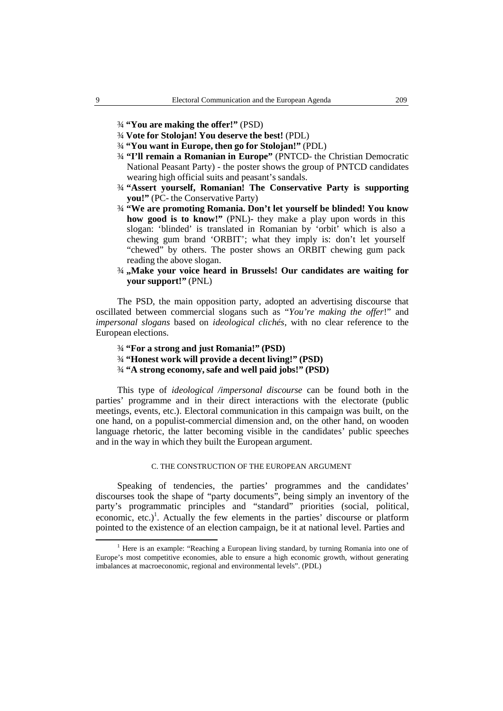- ¾ **"You are making the offer!"** (PSD)
- ¾ **Vote for Stolojan! You deserve the best!** (PDL)
- ¾ **"You want in Europe, then go for Stolojan!"** (PDL)
- ¾ **"I'll remain a Romanian in Europe"** (PNTCD- the Christian Democratic National Peasant Party) - the poster shows the group of PNTCD candidates wearing high official suits and peasant's sandals.
- ¾ **"Assert yourself, Romanian! The Conservative Party is supporting you!"** (PC- the Conservative Party)
- ¾ **"We are promoting Romania. Don't let yourself be blinded! You know how good is to know!"** (PNL)- they make a play upon words in this slogan: 'blinded' is translated in Romanian by 'orbit' which is also a chewing gum brand 'ORBIT'; what they imply is: don't let yourself "chewed" by others. The poster shows an ORBIT chewing gum pack reading the above slogan.
- ¾ **"Make your voice heard in Brussels! Our candidates are waiting for your support!"** (PNL)

The PSD, the main opposition party, adopted an advertising discourse that oscillated between commercial slogans such as "*You're making the offer*!" and *impersonal slogans* based on *ideological clichés*, with no clear reference to the European elections.

- ¾ **"Fora strong and just Romania!" (PSD)**
- ¾ **"Honest work will provide a decent living!" (PSD)**
- ¾ **"A strong economy, safe and well paid jobs!" (PSD)**

This type of *ideological /impersonal discourse* can be found both in the parties' programme and in their direct interactions with the electorate (public meetings, events, etc.). Electoral communication in this campaign was built, on the one hand, on a populist-commercial dimension and, on the other hand, on wooden language rhetoric, the latter becoming visible in the candidates' public speeches and in the way in which they built the European argument.

# C. THE CONSTRUCTION OF THE EUROPEAN ARGUMENT

Speaking of tendencies, the parties' programmes and the candidates' discourses took the shape of "party documents", being simply an inventory of the party's programmatic principles and "standard" priorities (social, political, economic, etc.) 1 . Actually the few elements in the parties' discourse or platform pointed to the existence of an election campaign, be it at national level. Parties and

<sup>&</sup>lt;sup>1</sup> Here is an example: "Reaching a European living standard, by turning Romania into one of Europe's most competitive economies, able to ensure a high economic growth, without generating imbalances at macroeconomic, regional and environmental levels". (PDL)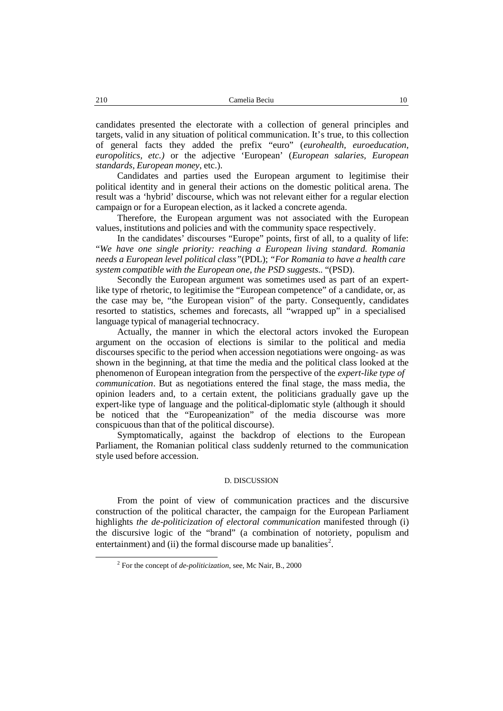candidates presented the electorate with a collection of general principles and targets, valid in any situation of political communication. It's true, to this collection of general facts they added the prefix "euro" (*eurohealth, euroeducation, europolitics, etc.)* or the adjective 'European' (*European salaries, European standards, European money*, etc.).

Candidates and parties used the European argument to legitimise their political identity and in general their actions on the domestic political arena. The result was a 'hybrid' discourse, which was not relevant either for a regular election campaign or for a European election, as it lacked a concrete agenda.

Therefore, the European argument was not associated with the European values, institutions and policies and with the community space respectively.

In the candidates' discourses "Europe" points, first of all, to a quality of life: "*We have one single priority: reaching a European living standard. Romania needs a European level political class"*(PDL); *"For Romania to have a health care system compatible with the European one, the PSD suggests..* "(PSD).

Secondly the European argument was sometimes used as part of an expertlike type of rhetoric, to legitimise the "European competence" of a candidate, or, as the case may be, "the European vision" of the party. Consequently, candidates resorted to statistics, schemes and forecasts, all "wrapped up" in a specialised language typical of managerial technocracy.

Actually, the manner in which the electoral actors invoked the European argument on the occasion of elections is similar to the political and media discourses specific to the period when accession negotiations were ongoing- as was shown in the beginning, at that time the media and the political class looked at the phenomenon of European integration from the perspective of the *expert-like type of communication*. But as negotiations entered the final stage, the mass media, the opinion leaders and, to a certain extent, the politicians gradually gave up the expert-like type of language and the political-diplomatic style (although it should be noticed that the "Europeanization" of the media discourse was more conspicuous than that of the political discourse).

Symptomatically, against the backdrop of elections to the European Parliament, the Romanian political class suddenly returned to the communication style used before accession.

#### D. DISCUSSION

From the point of view of communication practices and the discursive construction of the political character, the campaign for the European Parliament highlights *the de-politicization of electoral communication* manifested through (i) the discursive logic of the "brand" (a combination of notoriety, populism and entertainment) and (ii) the formal discourse made up banalities<sup>2</sup>.

<sup>2</sup> For the concept of *de-politicization*, see, Mc Nair, B., 2000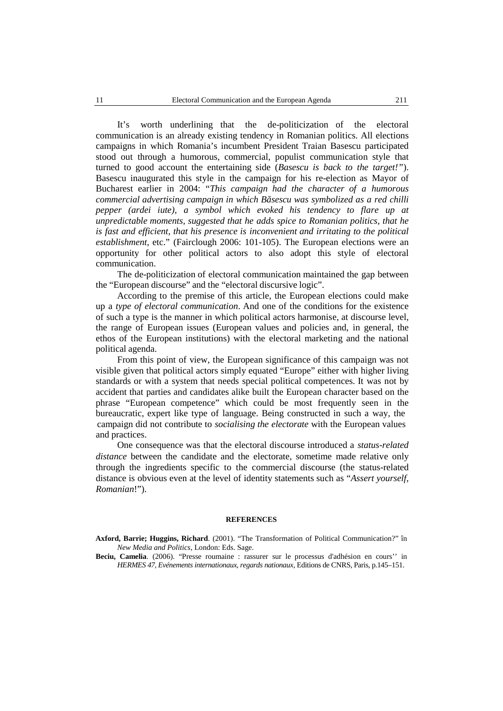It's worth underlining that the de-politicization of the electoral communication is an already existing tendency in Romanian politics. All elections campaigns in which Romania's incumbent President Traian Basescu participated stood out through a humorous, commercial, populist communication style that turned to good account the entertaining side (*Basescu is back to the target!"*). Basescu inaugurated this style in the campaign for his re-election as Mayor of Bucharest earlier in 2004: "*This campaign had the character of a humorous commercial advertising campaign in which Băsescu was symbolized as a red chilli pepper (ardei iute), a symbol which evoked his tendency to flare up at unpredictable moments, suggested that he adds spice to Romanian politics, that he is fast and efficient, that his presence is inconvenient and irritating to the political establishment*, etc." (Fairclough 2006: 101-105). The European elections were an opportunity for other political actors to also adopt this style of electoral communication.

The de-politicization of electoral communication maintained the gap between the "European discourse" and the "electoral discursive logic".

According to the premise of this article, the European elections could make up a *type of electoral communication*. And one of the conditions for the existence of such a type is the manner in which political actors harmonise, at discourse level, the range of European issues (European values and policies and, in general, the ethos of the European institutions) with the electoral marketing and the national political agenda.

From this point of view, the European significance of this campaign was not visible given that political actors simply equated "Europe" either with higher living standards or with a system that needs special political competences. It was not by accident that parties and candidates alike built the European character based on the phrase "European competence" which could be most frequently seen in the bureaucratic, expert like type of language. Being constructed in such a way, the campaign did not contribute to *socialising the electorate* with the European values and practices.

One consequence was that the electoral discourse introduced a *status-related distance* between the candidate and the electorate, sometime made relative only through the ingredients specific to the commercial discourse (the status-related distance is obvious even at the level of identity statements such as "*Assert yourself, Romanian*!").

#### **REFERENCES**

**Axford, Barrie; Huggins, Richard.** (2001). "The Transformation of Political Communication?" în *New Media and Politics*, London: Eds. Sage.

**Beciu, Camelia**. (2006). "Presse roumaine : rassurer sur le processus d'adhésion en cours'' in *HERMES 47, Evénements internationaux, regards nationaux*, Editions de CNRS, Paris, p.145–151.